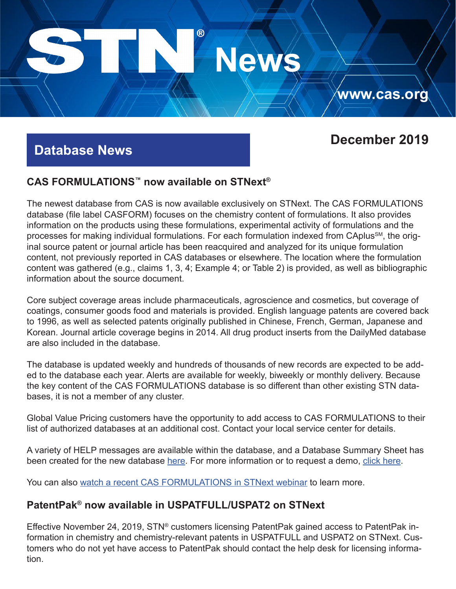# $^\circledR$ **News**

# **Database News**

# **December 2019**

**www.cas.org**

## **CAS FORMULATIONS™ now available on STNext®**

The newest database from CAS is now available exclusively on STNext. The CAS FORMULATIONS database (file label CASFORM) focuses on the chemistry content of formulations. It also provides information on the products using these formulations, experimental activity of formulations and the processes for making individual formulations. For each formulation indexed from CAplus<sup>SM</sup>, the original source patent or journal article has been reacquired and analyzed for its unique formulation content, not previously reported in CAS databases or elsewhere. The location where the formulation content was gathered (e.g., claims 1, 3, 4; Example 4; or Table 2) is provided, as well as bibliographic information about the source document.

Core subject coverage areas include pharmaceuticals, agroscience and cosmetics, but coverage of coatings, consumer goods food and materials is provided. English language patents are covered back to 1996, as well as selected patents originally published in Chinese, French, German, Japanese and Korean. Journal article coverage begins in 2014. All drug product inserts from the DailyMed database are also included in the database.

The database is updated weekly and hundreds of thousands of new records are expected to be added to the database each year. Alerts are available for weekly, biweekly or monthly delivery. Because the key content of the CAS FORMULATIONS database is so different than other existing STN databases, it is not a member of any cluster.

Global Value Pricing customers have the opportunity to add access to CAS FORMULATIONS to their list of authorized databases at an additional cost. Contact your local service center for details.

A variety of HELP messages are available within the database, and a Database Summary Sheet has been created for the new database [here](https://www.cas.org/sites/default/files/documents/casform.pdf). For more information or to request a demo, [click here](https://www.cas.org/products/stn/cas-formulations).

You can also [watch a recent CAS FORMULATIONS in STNext webinar](http://www.stn-international.com/201911_casformulations.html) to learn more.

## **PatentPak® now available in USPATFULL/USPAT2 on STNext**

Effective November 24, 2019, STN® customers licensing PatentPak gained access to PatentPak information in chemistry and chemistry-relevant patents in USPATFULL and USPAT2 on STNext. Customers who do not yet have access to PatentPak should contact the help desk for licensing information.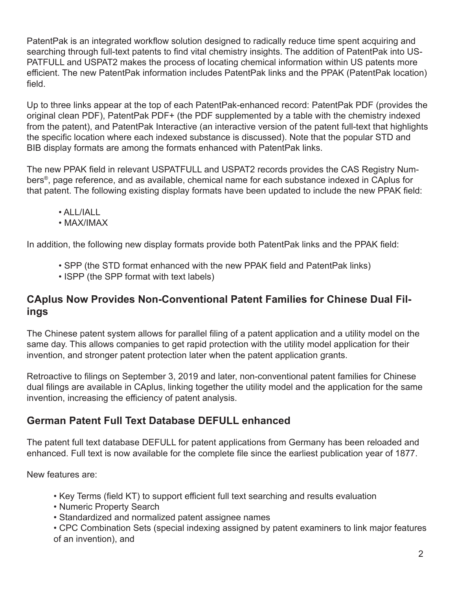PatentPak is an integrated workflow solution designed to radically reduce time spent acquiring and searching through full-text patents to find vital chemistry insights. The addition of PatentPak into US-PATFULL and USPAT2 makes the process of locating chemical information within US patents more efficient. The new PatentPak information includes PatentPak links and the PPAK (PatentPak location) field.

Up to three links appear at the top of each PatentPak-enhanced record: PatentPak PDF (provides the original clean PDF), PatentPak PDF+ (the PDF supplemented by a table with the chemistry indexed from the patent), and PatentPak Interactive (an interactive version of the patent full-text that highlights the specific location where each indexed substance is discussed). Note that the popular STD and BIB display formats are among the formats enhanced with PatentPak links.

The new PPAK field in relevant USPATFULL and USPAT2 records provides the CAS Registry Numbers®, page reference, and as available, chemical name for each substance indexed in CAplus for that patent. The following existing display formats have been updated to include the new PPAK field:

- ALL/IALL
- MAX/IMAX

In addition, the following new display formats provide both PatentPak links and the PPAK field:

- SPP (the STD format enhanced with the new PPAK field and PatentPak links)
- ISPP (the SPP format with text labels)

## **CAplus Now Provides Non-Conventional Patent Families for Chinese Dual Filings**

The Chinese patent system allows for parallel filing of a patent application and a utility model on the same day. This allows companies to get rapid protection with the utility model application for their invention, and stronger patent protection later when the patent application grants.

Retroactive to filings on September 3, 2019 and later, non-conventional patent families for Chinese dual filings are available in CAplus, linking together the utility model and the application for the same invention, increasing the efficiency of patent analysis.

# **German Patent Full Text Database DEFULL enhanced**

The patent full text database DEFULL for patent applications from Germany has been reloaded and enhanced. Full text is now available for the complete file since the earliest publication year of 1877.

New features are:

- Key Terms (field KT) to support efficient full text searching and results evaluation
- Numeric Property Search
- Standardized and normalized patent assignee names

• CPC Combination Sets (special indexing assigned by patent examiners to link major features of an invention), and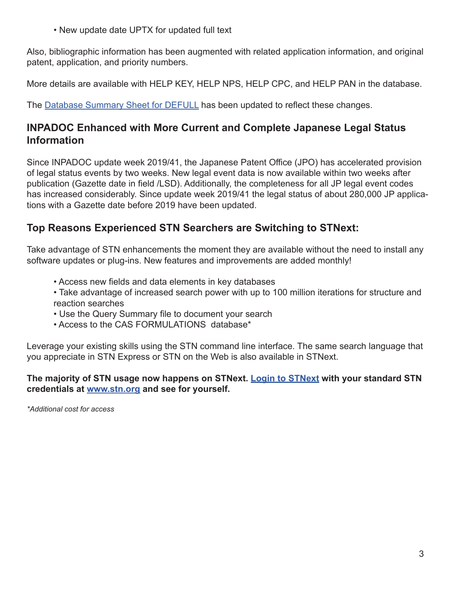• New update date UPTX for updated full text

Also, bibliographic information has been augmented with related application information, and original patent, application, and priority numbers.

More details are available with HELP KEY, HELP NPS, HELP CPC, and HELP PAN in the database.

The [Database Summary Sheet for DEFULL](https://www.cas.org/sites/default/files/documents/defull1119.pdf) has been updated to reflect these changes.

#### **INPADOC Enhanced with More Current and Complete Japanese Legal Status Information**

Since INPADOC update week 2019/41, the Japanese Patent Office (JPO) has accelerated provision of legal status events by two weeks. New legal event data is now available within two weeks after publication (Gazette date in field /LSD). Additionally, the completeness for all JP legal event codes has increased considerably. Since update week 2019/41 the legal status of about 280,000 JP applications with a Gazette date before 2019 have been updated.

## **Top Reasons Experienced STN Searchers are Switching to STNext:**

Take advantage of STN enhancements the moment they are available without the need to install any software updates or plug-ins. New features and improvements are added monthly!

- Access new fields and data elements in key databases
- Take advantage of increased search power with up to 100 million iterations for structure and reaction searches
- Use the Query Summary file to document your search
- Access to the CAS FORMULATIONS database\*

Leverage your existing skills using the STN command line interface. The same search language that you appreciate in STN Express or STN on the Web is also available in STNext.

#### **The majority of STN usage now happens on STNext. [Login to STNext](https://www.stn.org/) with your standard STN credentials at [www.stn.org](https://www.stn.org/) and see for yourself.**

*\*Additional cost for access*